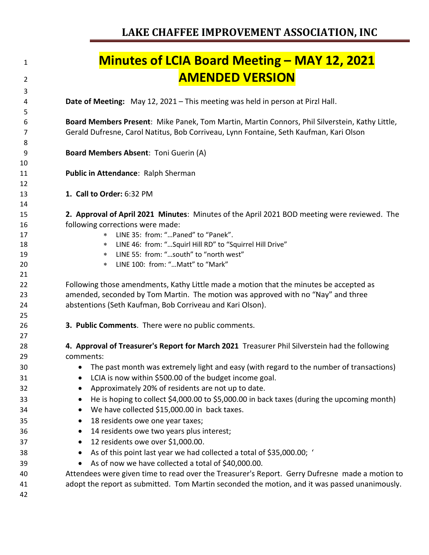| 1        | <b>Minutes of LCIA Board Meeting - MAY 12, 2021</b>                                             |
|----------|-------------------------------------------------------------------------------------------------|
| 2        | <b>AMENDED VERSION</b>                                                                          |
| 3        |                                                                                                 |
| 4<br>5   | Date of Meeting: May 12, 2021 - This meeting was held in person at Pirzl Hall.                  |
| 6        | Board Members Present: Mike Panek, Tom Martin, Martin Connors, Phil Silverstein, Kathy Little,  |
| 7<br>8   | Gerald Dufresne, Carol Natitus, Bob Corriveau, Lynn Fontaine, Seth Kaufman, Kari Olson          |
| 9        | Board Members Absent: Toni Guerin (A)                                                           |
| 10       |                                                                                                 |
| 11       | Public in Attendance: Ralph Sherman                                                             |
| 12       |                                                                                                 |
| 13       | 1. Call to Order: 6:32 PM                                                                       |
| 14       |                                                                                                 |
| 15       | 2. Approval of April 2021 Minutes: Minutes of the April 2021 BOD meeting were reviewed. The     |
| 16       | following corrections were made:<br>LINE 35: from: "Paned" to "Panek".                          |
| 17       | $\ast$<br>LINE 46: from: " Squirl Hill RD" to "Squirrel Hill Drive"<br>$\ast$                   |
| 18<br>19 | LINE 55: from: "south" to "north west"<br>$\ast$                                                |
| 20       | LINE 100: from: " Matt" to "Mark"<br>$\ast$                                                     |
| 21       |                                                                                                 |
| 22       | Following those amendments, Kathy Little made a motion that the minutes be accepted as          |
| 23       | amended, seconded by Tom Martin. The motion was approved with no "Nay" and three                |
| 24       | abstentions (Seth Kaufman, Bob Corriveau and Kari Olson).                                       |
| 25       |                                                                                                 |
| 26       | 3. Public Comments. There were no public comments.                                              |
| 27       |                                                                                                 |
| 28       | 4. Approval of Treasurer's Report for March 2021 Treasurer Phil Silverstein had the following   |
| 29       | comments:                                                                                       |
| 30       | The past month was extremely light and easy (with regard to the number of transactions)         |
| 31       | LCIA is now within \$500.00 of the budget income goal.                                          |
| 32       | Approximately 20% of residents are not up to date.                                              |
| 33       | He is hoping to collect \$4,000.00 to \$5,000.00 in back taxes (during the upcoming month)<br>٠ |
| 34       | We have collected \$15,000.00 in back taxes.<br>٠                                               |
| 35       | 18 residents owe one year taxes;<br>$\bullet$                                                   |
| 36       | 14 residents owe two years plus interest;<br>٠                                                  |
| 37       | 12 residents owe over \$1,000.00.<br>$\bullet$                                                  |
| 38       | As of this point last year we had collected a total of \$35,000.00; '<br>٠                      |
| 39       | As of now we have collected a total of \$40,000.00.<br>$\bullet$                                |
| 40       | Attendees were given time to read over the Treasurer's Report. Gerry Dufresne made a motion to  |
| 41       | adopt the report as submitted. Tom Martin seconded the motion, and it was passed unanimously.   |
| 42       |                                                                                                 |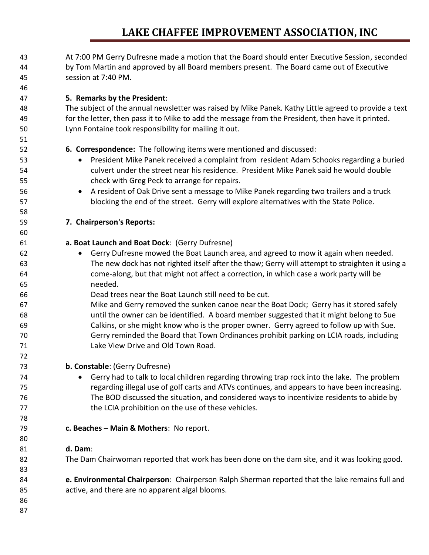## **LAKE CHAFFEE IMPROVEMENT ASSOCIATION, INC**

| 43<br>44<br>45 | At 7:00 PM Gerry Dufresne made a motion that the Board should enter Executive Session, seconded<br>by Tom Martin and approved by all Board members present. The Board came out of Executive<br>session at 7:40 PM. |
|----------------|--------------------------------------------------------------------------------------------------------------------------------------------------------------------------------------------------------------------|
| 46             |                                                                                                                                                                                                                    |
| 47             | 5. Remarks by the President:                                                                                                                                                                                       |
| 48             | The subject of the annual newsletter was raised by Mike Panek. Kathy Little agreed to provide a text                                                                                                               |
| 49             | for the letter, then pass it to Mike to add the message from the President, then have it printed.                                                                                                                  |
| 50             | Lynn Fontaine took responsibility for mailing it out.                                                                                                                                                              |
| 51             |                                                                                                                                                                                                                    |
| 52             | 6. Correspondence: The following items were mentioned and discussed:                                                                                                                                               |
| 53             | President Mike Panek received a complaint from resident Adam Schooks regarding a buried<br>٠                                                                                                                       |
| 54             | culvert under the street near his residence. President Mike Panek said he would double                                                                                                                             |
| 55             | check with Greg Peck to arrange for repairs.                                                                                                                                                                       |
| 56             | A resident of Oak Drive sent a message to Mike Panek regarding two trailers and a truck<br>$\bullet$                                                                                                               |
| 57             | blocking the end of the street. Gerry will explore alternatives with the State Police.                                                                                                                             |
| 58             |                                                                                                                                                                                                                    |
| 59             | 7. Chairperson's Reports:                                                                                                                                                                                          |
| 60             |                                                                                                                                                                                                                    |
| 61             | a. Boat Launch and Boat Dock: (Gerry Dufresne)                                                                                                                                                                     |
| 62             | Gerry Dufresne mowed the Boat Launch area, and agreed to mow it again when needed.<br>$\bullet$                                                                                                                    |
| 63             | The new dock has not righted itself after the thaw; Gerry will attempt to straighten it using a                                                                                                                    |
| 64             | come-along, but that might not affect a correction, in which case a work party will be                                                                                                                             |
| 65             | needed.                                                                                                                                                                                                            |
| 66             | Dead trees near the Boat Launch still need to be cut.                                                                                                                                                              |
| 67             | Mike and Gerry removed the sunken canoe near the Boat Dock; Gerry has it stored safely                                                                                                                             |
| 68             | until the owner can be identified. A board member suggested that it might belong to Sue                                                                                                                            |
| 69             | Calkins, or she might know who is the proper owner. Gerry agreed to follow up with Sue.                                                                                                                            |
| 70             | Gerry reminded the Board that Town Ordinances prohibit parking on LCIA roads, including                                                                                                                            |
| 71             | Lake View Drive and Old Town Road.                                                                                                                                                                                 |
| 72             |                                                                                                                                                                                                                    |
| 73             | b. Constable: (Gerry Dufresne)                                                                                                                                                                                     |
| 74             | Gerry had to talk to local children regarding throwing trap rock into the lake. The problem                                                                                                                        |
| 75             | regarding illegal use of golf carts and ATVs continues, and appears to have been increasing.                                                                                                                       |
| 76             | The BOD discussed the situation, and considered ways to incentivize residents to abide by                                                                                                                          |
| 77             | the LCIA prohibition on the use of these vehicles.                                                                                                                                                                 |
| 78             |                                                                                                                                                                                                                    |
| 79             | c. Beaches - Main & Mothers: No report.                                                                                                                                                                            |
| 80             |                                                                                                                                                                                                                    |
| 81             | d. Dam:                                                                                                                                                                                                            |
| 82             | The Dam Chairwoman reported that work has been done on the dam site, and it was looking good.                                                                                                                      |
| 83             |                                                                                                                                                                                                                    |
| 84             | e. Environmental Chairperson: Chairperson Ralph Sherman reported that the lake remains full and                                                                                                                    |
| 85             | active, and there are no apparent algal blooms.                                                                                                                                                                    |
| 86             |                                                                                                                                                                                                                    |
| 87             |                                                                                                                                                                                                                    |